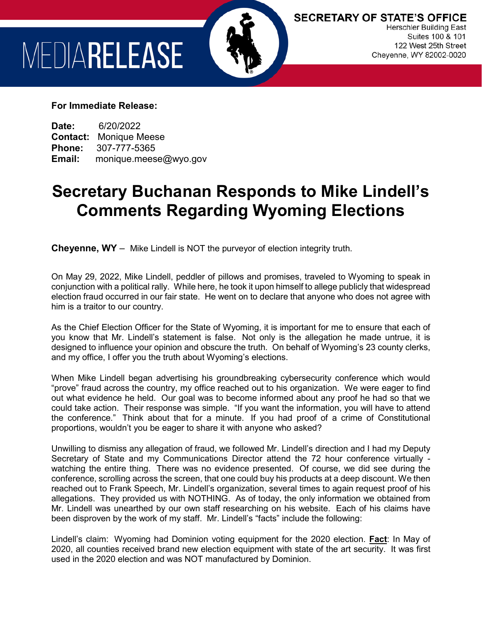## MEDIARELEASE



**SECRETARY OF STATE'S OFFICE Herschler Building East** Suites 100 & 101 122 West 25th Street Cheyenne, WY 82002-0020

## **For Immediate Release:**

**Date:** 6/20/2022 **Contact: Monique Meese<br>Phone: 307-777-5365 Phone:** 307-777-5365 **Email:** monique.meese@wyo.gov

## **Secretary Buchanan Responds to Mike Lindell's Comments Regarding Wyoming Elections**

**Cheyenne, WY** – Mike Lindell is NOT the purveyor of election integrity truth.

On May 29, 2022, Mike Lindell, peddler of pillows and promises, traveled to Wyoming to speak in conjunction with a political rally. While here, he took it upon himself to allege publicly that widespread election fraud occurred in our fair state. He went on to declare that anyone who does not agree with him is a traitor to our country.

As the Chief Election Officer for the State of Wyoming, it is important for me to ensure that each of you know that Mr. Lindell's statement is false. Not only is the allegation he made untrue, it is designed to influence your opinion and obscure the truth. On behalf of Wyoming's 23 county clerks, and my office, I offer you the truth about Wyoming's elections.

When Mike Lindell began advertising his groundbreaking cybersecurity conference which would "prove" fraud across the country, my office reached out to his organization. We were eager to find out what evidence he held. Our goal was to become informed about any proof he had so that we could take action. Their response was simple. "If you want the information, you will have to attend the conference." Think about that for a minute. If you had proof of a crime of Constitutional proportions, wouldn't you be eager to share it with anyone who asked?

Unwilling to dismiss any allegation of fraud, we followed Mr. Lindell's direction and I had my Deputy Secretary of State and my Communications Director attend the 72 hour conference virtually watching the entire thing. There was no evidence presented. Of course, we did see during the conference, scrolling across the screen, that one could buy his products at a deep discount. We then reached out to Frank Speech, Mr. Lindell's organization, several times to again request proof of his allegations. They provided us with NOTHING. As of today, the only information we obtained from Mr. Lindell was unearthed by our own staff researching on his website. Each of his claims have been disproven by the work of my staff. Mr. Lindell's "facts" include the following:

Lindell's claim: Wyoming had Dominion voting equipment for the 2020 election. **Fact**: In May of 2020, all counties received brand new election equipment with state of the art security. It was first used in the 2020 election and was NOT manufactured by Dominion.